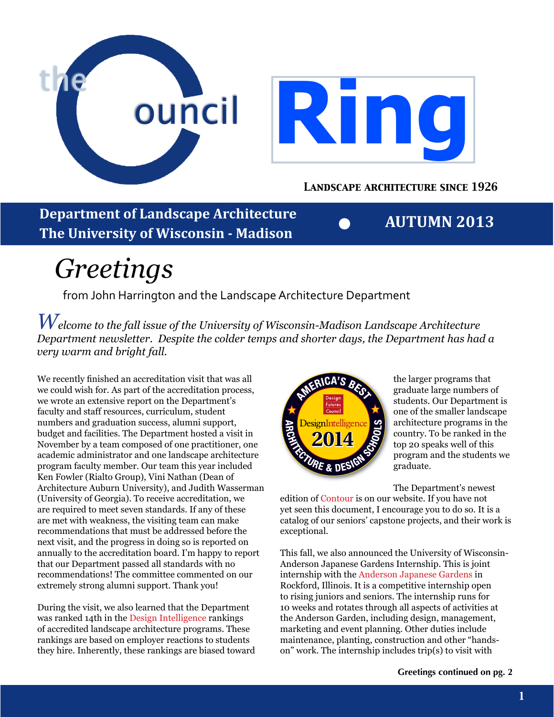

**Department of Landscape Architecture The University of Wisconsin - Madison**

**AUTUMN 2013**

# *Greetings*

from John Harrington and the Landscape Architecture Department

*Welcome to the fall issue of the University of Wisconsin-Madison Landscape Architecture Department newsletter. Despite the colder temps and shorter days, the Department has had a very warm and bright fall.* 

We recently finished an accreditation visit that was all we could wish for. As part of the accreditation process, we wrote an extensive report on the Department's faculty and staff resources, curriculum, student numbers and graduation success, alumni support, budget and facilities. The Department hosted a visit in November by a team composed of one practitioner, one academic administrator and one landscape architecture program faculty member. Our team this year included Ken Fowler (Rialto Group), Vini Nathan (Dean of Architecture Auburn University), and Judith Wasserman (University of Georgia). To receive accreditation, we are required to meet seven standards. If any of these are met with weakness, the visiting team can make recommendations that must be addressed before the next visit, and the progress in doing so is reported on annually to the accreditation board. I'm happy to report that our Department passed all standards with no recommendations! The committee commented on our extremely strong alumni support. Thank you!

During the visit, we also learned that the Department was ranked 14th in the [Design Intelligence](http://store.di.net/collections/frontpage/products/best-architecture-schools) rankings of accredited landscape architecture programs. These rankings are based on employer reactions to students they hire. Inherently, these rankings are biased toward



the larger programs that graduate large numbers of students. Our Department is one of the smaller landscape architecture programs in the country. To be ranked in the top 20 speaks well of this program and the students we graduate.

The Department's newest

edition of [Contour](http://la.wisc.edu/wp-content/uploads/sites/2/2013/09/Contour_Vol_02_2012-2013_Booklet_ForWebsiteOnly.pdf) is on our website. If you have not yet seen this document, I encourage you to do so. It is a catalog of our seniors' capstone projects, and their work is exceptional.

This fall, we also announced the University of Wisconsin-Anderson Japanese Gardens Internship. This is joint internship with the [Anderson Japanese Gardens](http://andersongardens.org) in Rockford, Illinois. It is a competitive internship open to rising juniors and seniors. The internship runs for 10 weeks and rotates through all aspects of activities at the Anderson Garden, including design, management, marketing and event planning. Other duties include maintenance, planting, construction and other "handson" work. The internship includes trip(s) to visit with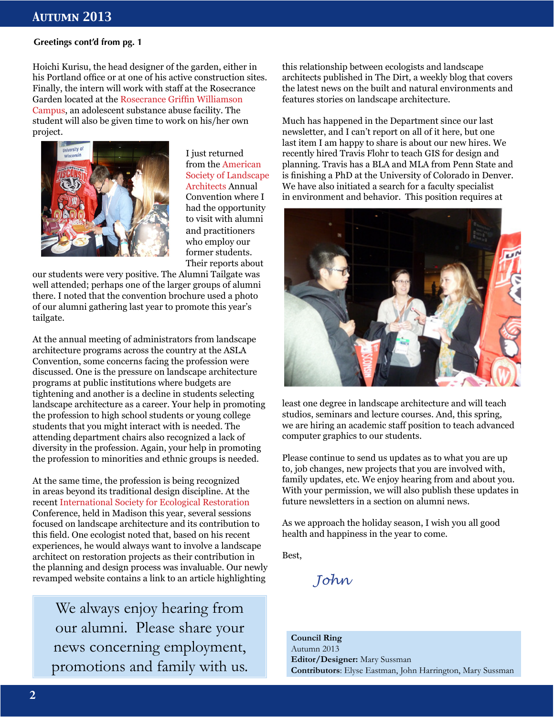### **Greetings cont'd from pg. 1**

Hoichi Kurisu, the head designer of the garden, either in his Portland office or at one of his active construction sites. Finally, the intern will work with staff at the Rosecrance Garden located at the [Rosecrance Griffin Williamson](http://www.rosecrance.org/facilities/rgw_02/)  [Campus](http://www.rosecrance.org/facilities/rgw_02/), an adolescent substance abuse facility. The student will also be given time to work on his/her own project.



I just returned from the [American](http://www.asla.org)  [Society of Landscape](http://www.asla.org)  [Architects](http://www.asla.org) Annual Convention where I had the opportunity to visit with alumni and practitioners who employ our former students. Their reports about

our students were very positive. The Alumni Tailgate was well attended; perhaps one of the larger groups of alumni there. I noted that the convention brochure used a photo of our alumni gathering last year to promote this year's tailgate.

At the annual meeting of administrators from landscape architecture programs across the country at the ASLA Convention, some concerns facing the profession were discussed. One is the pressure on landscape architecture programs at public institutions where budgets are tightening and another is a decline in students selecting landscape architecture as a career. Your help in promoting the profession to high school students or young college students that you might interact with is needed. The attending department chairs also recognized a lack of diversity in the profession. Again, your help in promoting the profession to minorities and ethnic groups is needed.

At the same time, the profession is being recognized in areas beyond its traditional design discipline. At the recent [International Society for Ecological Restoration](http://www.ser.org) Conference, held in Madison this year, several sessions focused on landscape architecture and its contribution to this field. One ecologist noted that, based on his recent experiences, he would always want to involve a landscape architect on restoration projects as their contribution in the planning and design process was invaluable. Our newly revamped website contains a link to an article highlighting

We always enjoy hearing from our alumni. Please share your news concerning employment, promotions and family with us. this relationship between ecologists and landscape architects published in The Dirt, a weekly blog that covers the latest news on the built and natural environments and features stories on landscape architecture.

Much has happened in the Department since our last newsletter, and I can't report on all of it here, but one last item I am happy to share is about our new hires. We recently hired Travis Flohr to teach GIS for design and planning. Travis has a BLA and MLA from Penn State and is finishing a PhD at the University of Colorado in Denver. We have also initiated a search for a faculty specialist in environment and behavior. This position requires at



least one degree in landscape architecture and will teach studios, seminars and lecture courses. And, this spring, we are hiring an academic staff position to teach advanced computer graphics to our students.

Please continue to send us updates as to what you are up to, job changes, new projects that you are involved with, family updates, etc. We enjoy hearing from and about you. With your permission, we will also publish these updates in future newsletters in a section on alumni news.

As we approach the holiday season, I wish you all good health and happiness in the year to come.

Best,

*John*

**Council Ring** Autumn 2013 **Editor/Designer:** Mary Sussman **Contributors**: Elyse Eastman, John Harrington, Mary Sussman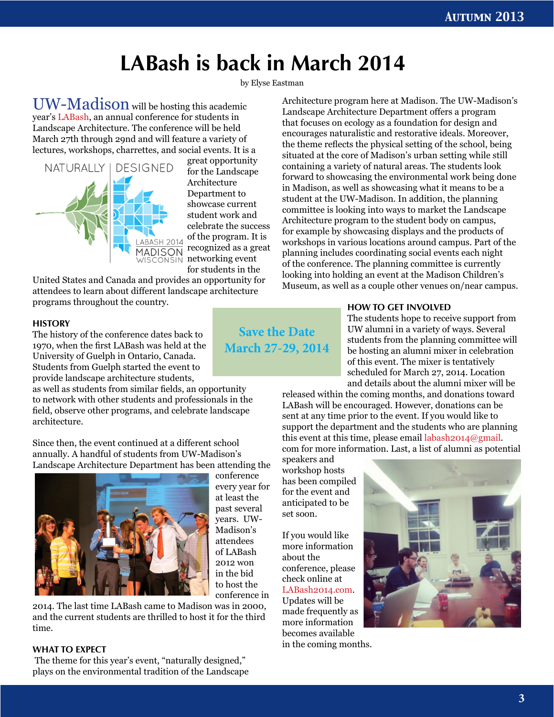## **LABash is back in March 2014**

by Elyse Eastman

UW-Madison will be hosting this academic year's [LABash](http://LABash2014.com), an annual conference for students in Landscape Architecture. The conference will be held March 27th through 29nd and will feature a variety of lectures, workshops, charrettes, and social events. It is a



great opportunity for the Landscape Architecture Department to showcase current student work and celebrate the success of the program. It is recognized as a great networking event for students in the

United States and Canada and provides an opportunity for attendees to learn about different landscape architecture programs throughout the country.

#### **HISTORY**

The history of the conference dates back to 1970, when the first LABash was held at the University of Guelph in Ontario, Canada. Students from Guelph started the event to provide landscape architecture students,

as well as students from similar fields, an opportunity to network with other students and professionals in the field, observe other programs, and celebrate landscape architecture.

Since then, the event continued at a different school annually. A handful of students from UW-Madison's Landscape Architecture Department has been attending the



conference every year for at least the past several years. UW-Madison's attendees of LABash 2012 won in the bid to host the conference in

2014. The last time LABash came to Madison was in 2000, and the current students are thrilled to host it for the third time.

### **WHAT TO EXPECT**

 The theme for this year's event, "naturally designed," plays on the environmental tradition of the Landscape

**Save the Date March 27-29, 2014**

Architecture program here at Madison. The UW-Madison's Landscape Architecture Department offers a program that focuses on ecology as a foundation for design and encourages naturalistic and restorative ideals. Moreover, the theme reflects the physical setting of the school, being situated at the core of Madison's urban setting while still containing a variety of natural areas. The students look forward to showcasing the environmental work being done in Madison, as well as showcasing what it means to be a student at the UW-Madison. In addition, the planning committee is looking into ways to market the Landscape Architecture program to the student body on campus, for example by showcasing displays and the products of workshops in various locations around campus. Part of the planning includes coordinating social events each night of the conference. The planning committee is currently looking into holding an event at the Madison Children's Museum, as well as a couple other venues on/near campus.

### **HOW TO GET INVOLVED**

The students hope to receive support from UW alumni in a variety of ways. Several students from the planning committee will be hosting an alumni mixer in celebration of this event. The mixer is tentatively scheduled for March 27, 2014. Location and details about the alumni mixer will be

released within the coming months, and donations toward LABash will be encouraged. However, donations can be sent at any time prior to the event. If you would like to support the department and the students who are planning this event at this time, please email [labash2014@gmail.](mailto:labash2014@gmail) com for more information. Last, a list of alumni as potential

speakers and workshop hosts has been compiled for the event and anticipated to be set soon.

If you would like more information about the conference, please check online at [LABash2014.com.](http://www.LABASH2014.com) Updates will be made frequently as more information becomes available in the coming months.

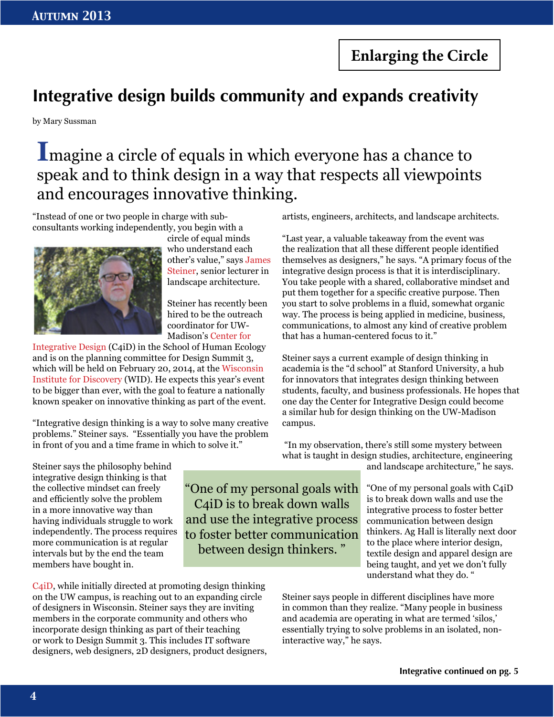**Enlarging the Circle**

### **Integrative design builds community and expands creativity**

by Mary Sussman

### **I**magine a circle of equals in which everyone has a chance to speak and to think design in a way that respects all viewpoints and encourages innovative thinking.

"One of my personal goals with C4iD is to break down walls and use the integrative process to foster better communication between design thinkers. "

"Instead of one or two people in charge with subconsultants working independently, you begin with a



circle of equal minds who understand each other's value," says [James](http://la.wisc.edu/faculty/james-steiner/)  [Steiner,](http://la.wisc.edu/faculty/james-steiner/) senior lecturer in landscape architecture.

Steiner has recently been hired to be the outreach coordinator for UW-Madison's [Center for](http://www.center4design.wisc.edu) 

[Integrative Design](http://www.center4design.wisc.edu) (C4iD) in the School of Human Ecology and is on the planning committee for Design Summit 3, which will be held on February 20, 2014, at the [Wisconsin](http://wid.wisc.edu)  [Institute for Discovery](http://wid.wisc.edu) (WID). He expects this year's event to be bigger than ever, with the goal to feature a nationally known speaker on innovative thinking as part of the event.

"Integrative design thinking is a way to solve many creative problems." Steiner says. "Essentially you have the problem in front of you and a time frame in which to solve it."

artists, engineers, architects, and landscape architects.

"Last year, a valuable takeaway from the event was the realization that all these different people identified themselves as designers," he says. "A primary focus of the integrative design process is that it is interdisciplinary. You take people with a shared, collaborative mindset and put them together for a specific creative purpose. Then you start to solve problems in a fluid, somewhat organic way. The process is being applied in medicine, business, communications, to almost any kind of creative problem that has a human-centered focus to it."

Steiner says a current example of design thinking in academia is the "d school" at Stanford University, a hub for innovators that integrates design thinking between students, faculty, and business professionals. He hopes that one day the Center for Integrative Design could become a similar hub for design thinking on the UW-Madison campus.

 "In my observation, there's still some mystery between what is taught in design studies, architecture, engineering

and landscape architecture," he says.

"One of my personal goals with C4iD is to break down walls and use the integrative process to foster better communication between design thinkers. Ag Hall is literally next door to the place where interior design, textile design and apparel design are being taught, and yet we don't fully understand what they do. "

Steiner says people in different disciplines have more in common than they realize. "Many people in business and academia are operating in what are termed 'silos,' essentially trying to solve problems in an isolated, noninteractive way," he says.

Steiner says the philosophy behind integrative design thinking is that the collective mindset can freely and efficiently solve the problem in a more innovative way than having individuals struggle to work independently. The process requires more communication is at regular intervals but by the end the team members have bought in.

[C4iD](http://www.center4design.wisc.edu), while initially directed at promoting design thinking on the UW campus, is reaching out to an expanding circle of designers in Wisconsin. Steiner says they are inviting members in the corporate community and others who incorporate design thinking as part of their teaching or work to Design Summit 3. This includes IT software designers, web designers, 2D designers, product designers,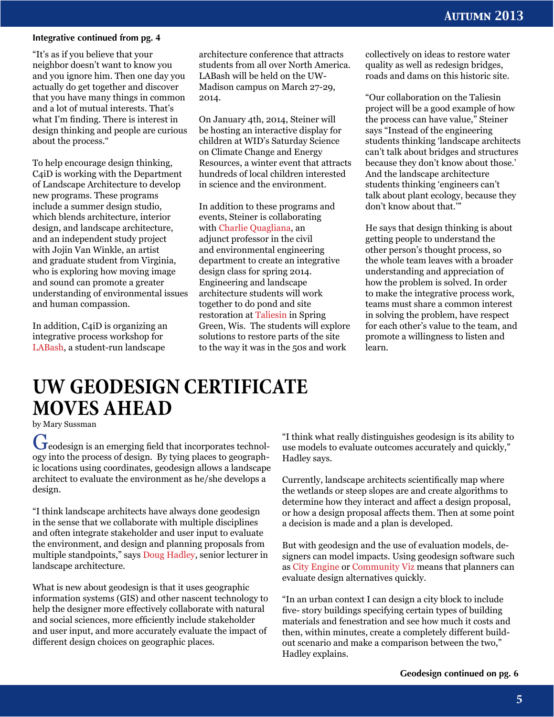#### **Integrative continued from pg. 4**

"It's as if you believe that your neighbor doesn't want to know you and you ignore him. Then one day you actually do get together and discover that you have many things in common and a lot of mutual interests. That's what I'm finding. There is interest in design thinking and people are curious about the process."

To help encourage design thinking, C4iD is working with the Department of Landscape Architecture to develop new programs. These programs include a summer design studio, which blends architecture, interior design, and landscape architecture, and an independent study project with Jojin Van Winkle, an artist and graduate student from Virginia, who is exploring how moving image and sound can promote a greater understanding of environmental issues and human compassion.

In addition, C4iD is organizing an integrative process workshop for [LABash](http://LABash2014.com), a student-run landscape

architecture conference that attracts students from all over North America. LABash will be held on the UW-Madison campus on March 27-29, 2014.

On January 4th, 2014, Steiner will be hosting an interactive display for children at [WID's Saturday Science](http://discovery.wisc.edu/home/town-center/programs--events/saturday-science-at-discovery/) on Climate Change and Energy Resources, a winter event that attracts hundreds of local children interested in science and the environment.

In addition to these programs and events, Steiner is collaborating with [Charlie Quagliana,](https://www.engr.wisc.edu/cee/faculty/quagliana_charles.html) an adjunct professor in the civil and environmental engineering department to create an integrative design class for spring 2014. Engineering and landscape architecture students will work together to do pond and site restoration at [Taliesin](http://www.taliesinpreservation.org) in Spring Green, Wis. The students will explore solutions to restore parts of the site to the way it was in the 50s and work

collectively on ideas to restore water quality as well as redesign bridges, roads and dams on this historic site.

"Our collaboration on the Taliesin project will be a good example of how the process can have value," Steiner says "Instead of the engineering students thinking 'landscape architects can't talk about bridges and structures because they don't know about those.' And the landscape architecture students thinking 'engineers can't talk about plant ecology, because they don't know about that.'"

He says that design thinking is about getting people to understand the other person's thought process, so the whole team leaves with a broader understanding and appreciation of how the problem is solved. In order to make the integrative process work, teams must share a common interest in solving the problem, have respect for each other's value to the team, and promote a willingness to listen and learn.

### **UW GEODESIGN CERTIFICATE MOVES AHEAD**

by Mary Sussman

Geodesign is an emerging field that incorporates technology into the process of design. By tying places to geographic locations using coordinates, geodesign allows a landscape architect to evaluate the environment as he/she develops a design.

"I think landscape architects have always done geodesign in the sense that we collaborate with multiple disciplines and often integrate stakeholder and user input to evaluate the environment, and design and planning proposals from multiple standpoints," says [Doug Hadley,](http://la.wisc.edu/faculty/doug-hadley/) senior lecturer in landscape architecture.

What is new about geodesign is that it uses geographic information systems (GIS) and other nascent technology to help the designer more effectively collaborate with natural and social sciences, more efficiently include stakeholder and user input, and more accurately evaluate the impact of different design choices on geographic places.

"I think what really distinguishes geodesign is its ability to use models to evaluate outcomes accurately and quickly," Hadley says.

Currently, landscape architects scientifically map where the wetlands or steep slopes are and create algorithms to determine how they interact and affect a design proposal, or how a design proposal affects them. Then at some point a decision is made and a plan is developed.

But with geodesign and the use of evaluation models, designers can model impacts. Using geodesign software such as [City Engine](http://www.esri.com/software/cityengine) or [Community Viz](http://www.orton.org/tools/communityviz) means that planners can evaluate design alternatives quickly.

"In an urban context I can design a city block to include five- story buildings specifying certain types of building materials and fenestration and see how much it costs and then, within minutes, create a completely different buildout scenario and make a comparison between the two," Hadley explains.